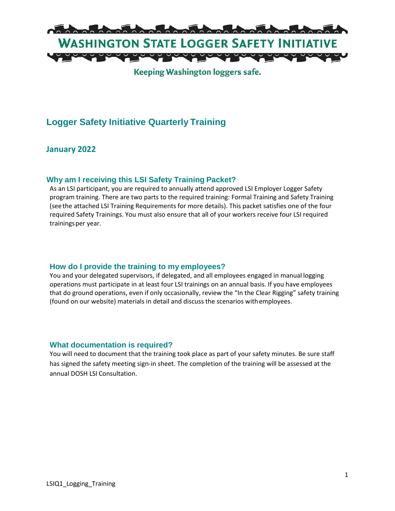

Keeping Washington loggers safe.

## **Logger Safety Initiative Quarterly Training**

### **January 2022**

#### **Why am I receiving this LSI Safety Training Packet?**

As an LSI participant, you are required to annually attend approved LSI Employer Logger Safety program training. There are two parts to the required training: Formal Training and Safety Training (seethe attached LSI Training Requirements for more details). This packet satisfies one of the four required Safety Trainings. You must also ensure that all of your workers receive four LSI required trainingsper year.

#### **How do I provide the training to my employees?**

You and your delegated supervisors, if delegated, and all employees engaged in manual logging operations must participate in at least four LSI trainings on an annual basis. If you have employees that do ground operations, even if only occasionally, review the "In the Clear Rigging" safety training (found on our website) materials in detail and discuss the scenarios withemployees.

#### **What documentation is required?**

You will need to document that the training took place as part of your safety minutes. Be sure staff has signed the safety meeting sign-in sheet. The completion of the training will be assessed at the annual DOSH LSI Consultation.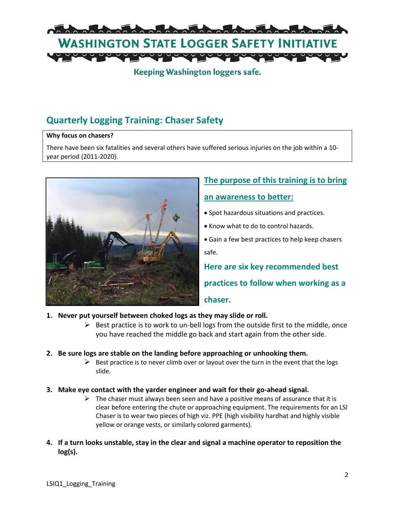

## Keeping Washington loggers safe.

# **Quarterly Logging Training: Chaser Safety**

#### **Why focus on chasers?**

There have been six fatalities and several others have suffered serious injuries on the job within a 10 year period (2011-2020).



# **The purpose of this training is to bring an awareness to better:**

- Spot hazardous situations and practices.
- Know what to do to control hazards.
- Gain a few best practices to help keep chasers safe.

**Here are six key recommended best** 

**practices to follow when working as a** 

#### **chaser.**

- **1. Never put yourself between choked logs as they may slide or roll.**
	- $\triangleright$  Best practice is to work to un-bell logs from the outside first to the middle, once you have reached the middle go back and start again from the other side.
- **2. Be sure logs are stable on the landing before approaching or unhooking them.**
	- $\triangleright$  Best practice is to never climb over or layout over the turn in the event that the logs slide.
- **3. Make eye contact with the yarder engineer and wait for their go-ahead signal.** 
	- $\triangleright$  The chaser must always been seen and have a positive means of assurance that it is clear before entering the chute or approaching equipment. The requirements for an LSI Chaser is to wear two pieces of high viz. PPE (high visibility hardhat and highly visible yellow or orange vests, or similarly colored garments).
- **4. If a turn looks unstable, stay in the clear and signal a machine operator to reposition the log(s).**